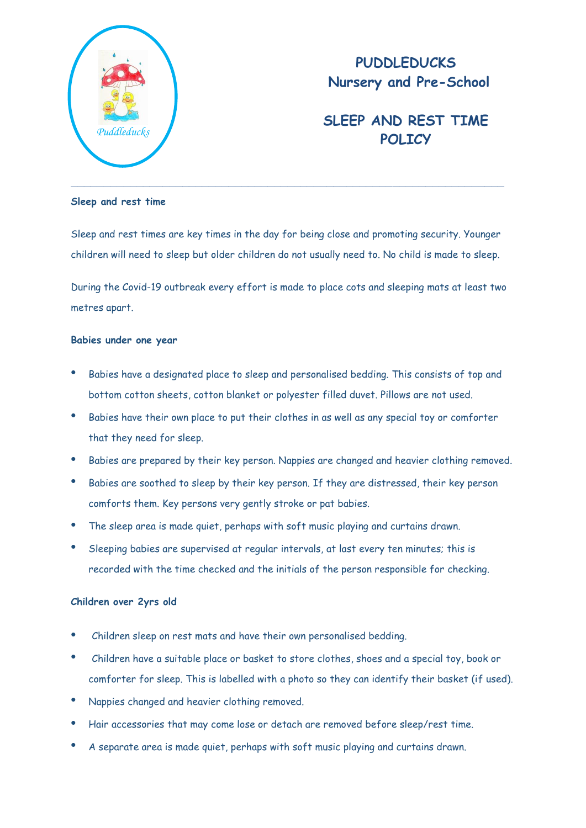

# **PUDDLEDUCKS Nursery and Pre-School**

# **SLEEP AND REST TIME** *Puddleducks* **POLICY**

#### **Sleep and rest time**

Sleep and rest times are key times in the day for being close and promoting security. Younger children will need to sleep but older children do not usually need to. No child is made to sleep.

During the Covid-19 outbreak every effort is made to place cots and sleeping mats at least two metres apart.

### **Babies under one year**

- Babies have a designated place to sleep and personalised bedding. This consists of top and bottom cotton sheets, cotton blanket or polyester filled duvet. Pillows are not used.
- Babies have their own place to put their clothes in as well as any special toy or comforter that they need for sleep.
- Babies are prepared by their key person. Nappies are changed and heavier clothing removed.
- Babies are soothed to sleep by their key person. If they are distressed, their key person comforts them. Key persons very gently stroke or pat babies.
- The sleep area is made quiet, perhaps with soft music playing and curtains drawn.
- Sleeping babies are supervised at regular intervals, at last every ten minutes; this is recorded with the time checked and the initials of the person responsible for checking.

## **Children over 2yrs old**

- Children sleep on rest mats and have their own personalised bedding.
- Children have a suitable place or basket to store clothes, shoes and a special toy, book or comforter for sleep. This is labelled with a photo so they can identify their basket (if used).
- Nappies changed and heavier clothing removed.
- Hair accessories that may come lose or detach are removed before sleep/rest time.
- A separate area is made quiet, perhaps with soft music playing and curtains drawn.